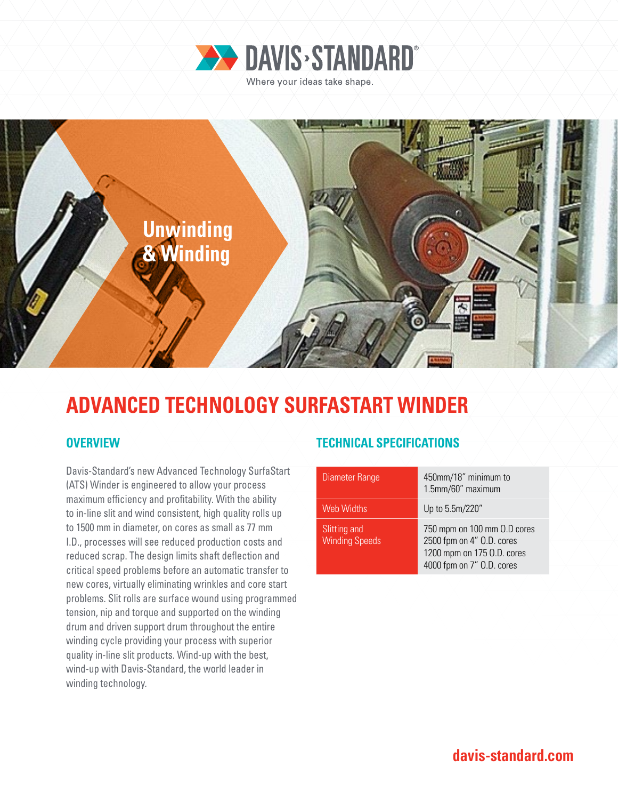



# **ADVANCED TECHNOLOGY SURFASTART WINDER**

Davis-Standard's new Advanced Technology SurfaStart (ATS) Winder is engineered to allow your process maximum efficiency and profitability. With the ability to in-line slit and wind consistent, high quality rolls up to 1500 mm in diameter, on cores as small as 77 mm I.D., processes will see reduced production costs and reduced scrap. The design limits shaft deflection and critical speed problems before an automatic transfer to new cores, virtually eliminating wrinkles and core start problems. Slit rolls are surface wound using programmed tension, nip and torque and supported on the winding drum and driven support drum throughout the entire winding cycle providing your process with superior quality in-line slit products. Wind-up with the best, wind-up with Davis-Standard, the world leader in winding technology.

### **OVERVIEW TECHNICAL SPECIFICATIONS**

| Diameter Range                        | 450mm/18" minimum to<br>1.5mm/60" maximum                                                                           |
|---------------------------------------|---------------------------------------------------------------------------------------------------------------------|
| <b>Web Widths</b>                     | Up to 5.5m/220"                                                                                                     |
| Slitting and<br><b>Winding Speeds</b> | 750 mpm on 100 mm 0.D cores<br>2500 fpm on 4" O.D. cores<br>1200 mpm on 175 O.D. cores<br>4000 fpm on 7" O.D. cores |